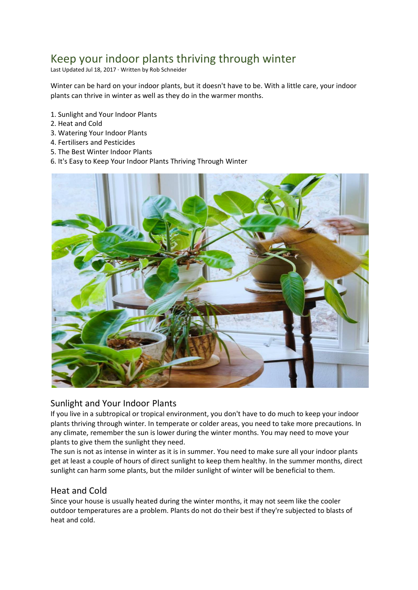# Keep your indoor plants thriving through winter

Last Updated Jul 18, 2017 · Written by Rob Schneider

Winter can be hard on your indoor plants, but it doesn't have to be. With a little care, your indoor plants can thrive in winter as well as they do in the warmer months.

- 1. Sunlight and Your Indoor Plants
- 2. Heat and Cold
- 3. Watering Your Indoor Plants
- 4. Fertilisers and Pesticides
- 5. The Best Winter Indoor Plants
- 6. It's Easy to Keep Your Indoor Plants Thriving Through Winter



### Sunlight and Your Indoor Plants

If you live in a subtropical or tropical environment, you don't have to do much to keep your indoor plants thriving through winter. In temperate or colder areas, you need to take more precautions. In any climate, remember the sun is lower during the winter months. You may need to move your plants to give them the sunlight they need.

The sun is not as intense in winter as it is in summer. You need to make sure all your indoor plants get at least a couple of hours of direct sunlight to keep them healthy. In the summer months, direct sunlight can harm some plants, but the milder sunlight of winter will be beneficial to them.

### Heat and Cold

Since your house is usually heated during the winter months, it may not seem like the cooler outdoor temperatures are a problem. Plants do not do their best if they're subjected to blasts of heat and cold.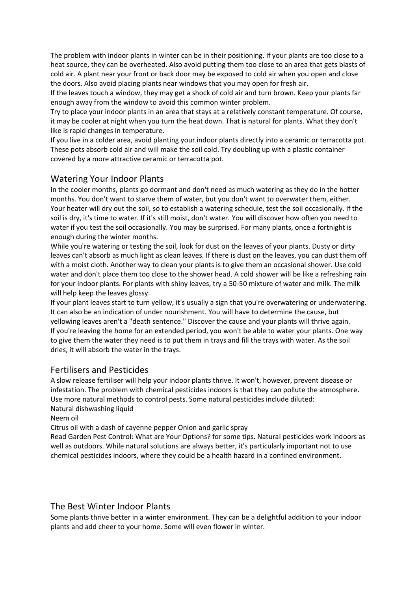The problem with indoor plants in winter can be in their positioning. If your plants are too close to a heat source, they can be overheated. Also avoid putting them too close to an area that gets blasts of cold air. A plant near your front or back door may be exposed to cold air when you open and close the doors. Also avoid placing plants near windows that you may open for fresh air.

If the leaves touch a window, they may get a shock of cold air and turn brown. Keep your plants far enough away from the window to avoid this common winter problem.

Try to place your indoor plants in an area that stays at a relatively constant temperature. Of course, it may be cooler at night when you turn the heat down. That is natural for plants. What they don't like is rapid changes in temperature.

If you live in a colder area, avoid planting your indoor plants directly into a ceramic or terracotta pot. These pots absorb cold air and will make the soil cold. Try doubling up with a plastic container covered by a more attractive ceramic or terracotta pot.

### Watering Your Indoor Plants

In the cooler months, plants go dormant and don't need as much watering as they do in the hotter months. You don't want to starve them of water, but you don't want to overwater them, either. Your heater will dry out the soil, so to establish a watering schedule, test the soil occasionally. If the soil is dry, it's time to water. If it's still moist, don't water. You will discover how often you need to water if you test the soil occasionally. You may be surprised. For many plants, once a fortnight is enough during the winter months.

While you're watering or testing the soil, look for dust on the leaves of your plants. Dusty or dirty leaves can't absorb as much light as clean leaves. If there is dust on the leaves, you can dust them off with a moist cloth. Another way to clean your plants is to give them an occasional shower. Use cold water and don't place them too close to the shower head. A cold shower will be like a refreshing rain for your indoor plants. For plants with shiny leaves, try a 50-50 mixture of water and milk. The milk will help keep the leaves glossy.

If your plant leaves start to turn yellow, it's usually a sign that you're overwatering or underwatering. It can also be an indication of under nourishment. You will have to determine the cause, but yellowing leaves aren't a "death sentence." Discover the cause and your plants will thrive again. If you're leaving the home for an extended period, you won't be able to water your plants. One way to give them the water they need is to put them in trays and fill the trays with water. As the soil dries, it will absorb the water in the trays.

### Fertilisers and Pesticides

A slow release fertiliser will help your indoor plants thrive. It won't, however, prevent disease or infestation. The problem with chemical pesticides indoors is that they can pollute the atmosphere. Use more natural methods to control pests. Some natural pesticides include diluted: Natural dishwashing liquid

Neem oil

Citrus oil with a dash of cayenne pepper Onion and garlic spray

Read Garden Pest Control: What are Your Options? for some tips. Natural pesticides work indoors as well as outdoors. While natural solutions are always better, it's particularly important not to use chemical pesticides indoors, where they could be a health hazard in a confined environment.

### The Best Winter Indoor Plants

Some plants thrive better in a winter environment. They can be a delightful addition to your indoor plants and add cheer to your home. Some will even flower in winter.